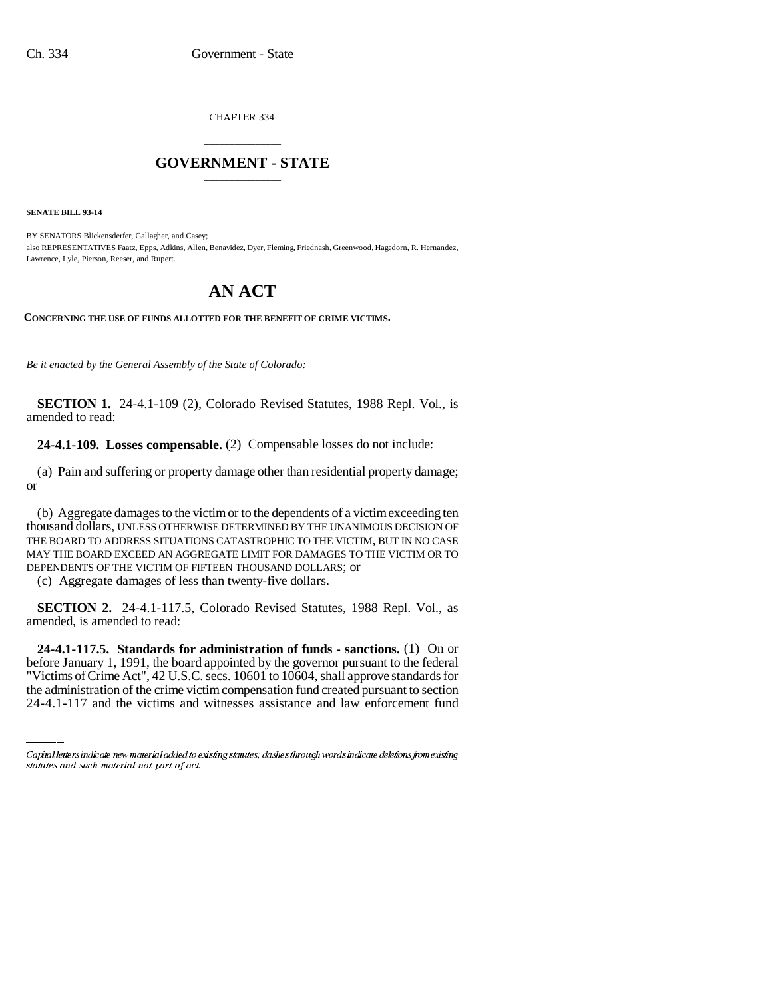CHAPTER 334

## \_\_\_\_\_\_\_\_\_\_\_\_\_\_\_ **GOVERNMENT - STATE** \_\_\_\_\_\_\_\_\_\_\_\_\_\_\_

**SENATE BILL 93-14**

BY SENATORS Blickensderfer, Gallagher, and Casey; also REPRESENTATIVES Faatz, Epps, Adkins, Allen, Benavidez, Dyer, Fleming, Friednash, Greenwood, Hagedorn, R. Hernandez, Lawrence, Lyle, Pierson, Reeser, and Rupert.

## **AN ACT**

**CONCERNING THE USE OF FUNDS ALLOTTED FOR THE BENEFIT OF CRIME VICTIMS.**

*Be it enacted by the General Assembly of the State of Colorado:*

**SECTION 1.** 24-4.1-109 (2), Colorado Revised Statutes, 1988 Repl. Vol., is amended to read:

**24-4.1-109. Losses compensable.** (2) Compensable losses do not include:

(a) Pain and suffering or property damage other than residential property damage; or

(b) Aggregate damages to the victim or to the dependents of a victim exceeding ten thousand dollars, UNLESS OTHERWISE DETERMINED BY THE UNANIMOUS DECISION OF THE BOARD TO ADDRESS SITUATIONS CATASTROPHIC TO THE VICTIM, BUT IN NO CASE MAY THE BOARD EXCEED AN AGGREGATE LIMIT FOR DAMAGES TO THE VICTIM OR TO DEPENDENTS OF THE VICTIM OF FIFTEEN THOUSAND DOLLARS; or

(c) Aggregate damages of less than twenty-five dollars.

**SECTION 2.** 24-4.1-117.5, Colorado Revised Statutes, 1988 Repl. Vol., as amended, is amended to read:

 **24-4.1-117.5. Standards for administration of funds - sanctions.** (1) On or before January 1, 1991, the board appointed by the governor pursuant to the federal "Victims of Crime Act", 42 U.S.C. secs. 10601 to 10604, shall approve standards for the administration of the crime victim compensation fund created pursuant to section 24-4.1-117 and the victims and witnesses assistance and law enforcement fund

Capital letters indicate new material added to existing statutes; dashes through words indicate deletions from existing statutes and such material not part of act.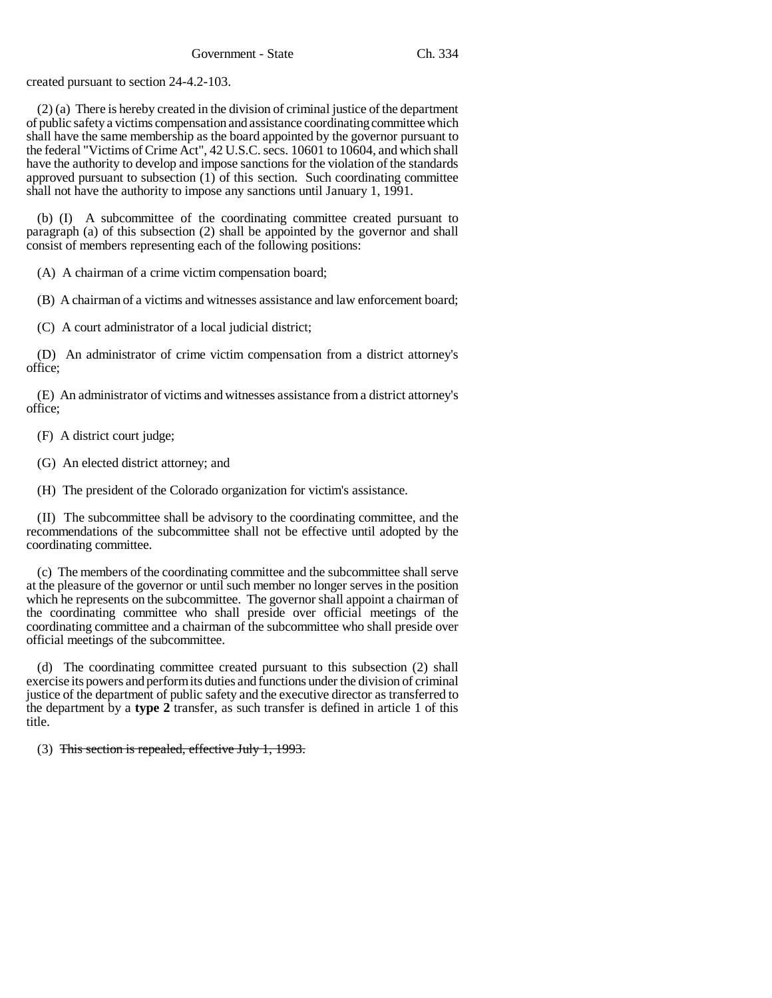created pursuant to section 24-4.2-103.

(2) (a) There is hereby created in the division of criminal justice of the department of public safety a victims compensation and assistance coordinating committee which shall have the same membership as the board appointed by the governor pursuant to the federal "Victims of Crime Act", 42 U.S.C. secs. 10601 to 10604, and which shall have the authority to develop and impose sanctions for the violation of the standards approved pursuant to subsection (1) of this section. Such coordinating committee shall not have the authority to impose any sanctions until January 1, 1991.

(b) (I) A subcommittee of the coordinating committee created pursuant to paragraph (a) of this subsection (2) shall be appointed by the governor and shall consist of members representing each of the following positions:

(A) A chairman of a crime victim compensation board;

(B) A chairman of a victims and witnesses assistance and law enforcement board;

(C) A court administrator of a local judicial district;

(D) An administrator of crime victim compensation from a district attorney's office;

(E) An administrator of victims and witnesses assistance from a district attorney's office;

(F) A district court judge;

(G) An elected district attorney; and

(H) The president of the Colorado organization for victim's assistance.

(II) The subcommittee shall be advisory to the coordinating committee, and the recommendations of the subcommittee shall not be effective until adopted by the coordinating committee.

(c) The members of the coordinating committee and the subcommittee shall serve at the pleasure of the governor or until such member no longer serves in the position which he represents on the subcommittee. The governor shall appoint a chairman of the coordinating committee who shall preside over official meetings of the coordinating committee and a chairman of the subcommittee who shall preside over official meetings of the subcommittee.

(d) The coordinating committee created pursuant to this subsection (2) shall exercise its powers and perform its duties and functions under the division of criminal justice of the department of public safety and the executive director as transferred to the department by a **type 2** transfer, as such transfer is defined in article 1 of this title.

(3) This section is repealed, effective July 1, 1993.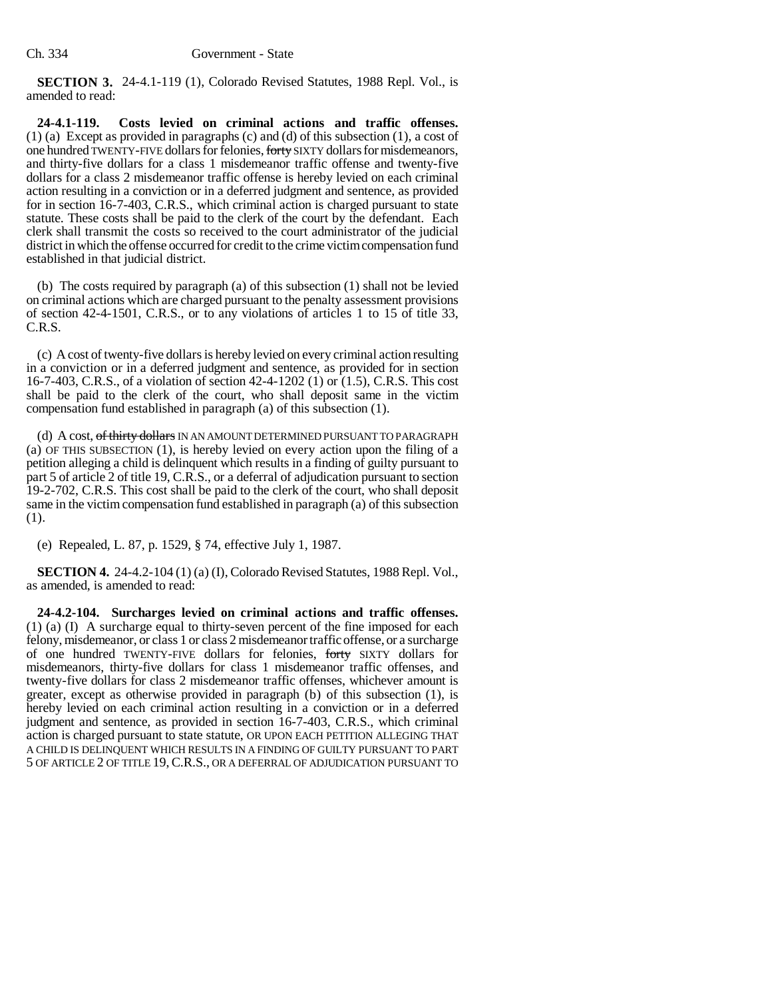**SECTION 3.** 24-4.1-119 (1), Colorado Revised Statutes, 1988 Repl. Vol., is amended to read:

**24-4.1-119. Costs levied on criminal actions and traffic offenses.** (1) (a) Except as provided in paragraphs (c) and (d) of this subsection (1), a cost of one hundred TWENTY-FIVE dollars for felonies, forty SIXTY dollars for misdemeanors, and thirty-five dollars for a class 1 misdemeanor traffic offense and twenty-five dollars for a class 2 misdemeanor traffic offense is hereby levied on each criminal action resulting in a conviction or in a deferred judgment and sentence, as provided for in section 16-7-403, C.R.S., which criminal action is charged pursuant to state statute. These costs shall be paid to the clerk of the court by the defendant. Each clerk shall transmit the costs so received to the court administrator of the judicial district in which the offense occurred for credit to the crime victim compensation fund established in that judicial district.

(b) The costs required by paragraph (a) of this subsection (1) shall not be levied on criminal actions which are charged pursuant to the penalty assessment provisions of section 42-4-1501, C.R.S., or to any violations of articles 1 to 15 of title 33, C.R.S.

(c) A cost of twenty-five dollars is hereby levied on every criminal action resulting in a conviction or in a deferred judgment and sentence, as provided for in section 16-7-403, C.R.S., of a violation of section 42-4-1202 (1) or (1.5), C.R.S. This cost shall be paid to the clerk of the court, who shall deposit same in the victim compensation fund established in paragraph (a) of this subsection (1).

(d) A cost, of thirty dollars IN AN AMOUNT DETERMINED PURSUANT TO PARAGRAPH (a) OF THIS SUBSECTION (1), is hereby levied on every action upon the filing of a petition alleging a child is delinquent which results in a finding of guilty pursuant to part 5 of article 2 of title 19, C.R.S., or a deferral of adjudication pursuant to section 19-2-702, C.R.S. This cost shall be paid to the clerk of the court, who shall deposit same in the victim compensation fund established in paragraph (a) of this subsection (1).

(e) Repealed, L. 87, p. 1529, § 74, effective July 1, 1987.

**SECTION 4.** 24-4.2-104 (1) (a) (I), Colorado Revised Statutes, 1988 Repl. Vol., as amended, is amended to read:

**24-4.2-104. Surcharges levied on criminal actions and traffic offenses.** (1) (a) (I) A surcharge equal to thirty-seven percent of the fine imposed for each felony, misdemeanor, or class 1 or class 2 misdemeanor traffic offense, or a surcharge of one hundred TWENTY-FIVE dollars for felonies, forty SIXTY dollars for misdemeanors, thirty-five dollars for class 1 misdemeanor traffic offenses, and twenty-five dollars for class 2 misdemeanor traffic offenses, whichever amount is greater, except as otherwise provided in paragraph (b) of this subsection (1), is hereby levied on each criminal action resulting in a conviction or in a deferred judgment and sentence, as provided in section 16-7-403, C.R.S., which criminal action is charged pursuant to state statute, OR UPON EACH PETITION ALLEGING THAT A CHILD IS DELINQUENT WHICH RESULTS IN A FINDING OF GUILTY PURSUANT TO PART 5 OF ARTICLE 2 OF TITLE 19,C.R.S., OR A DEFERRAL OF ADJUDICATION PURSUANT TO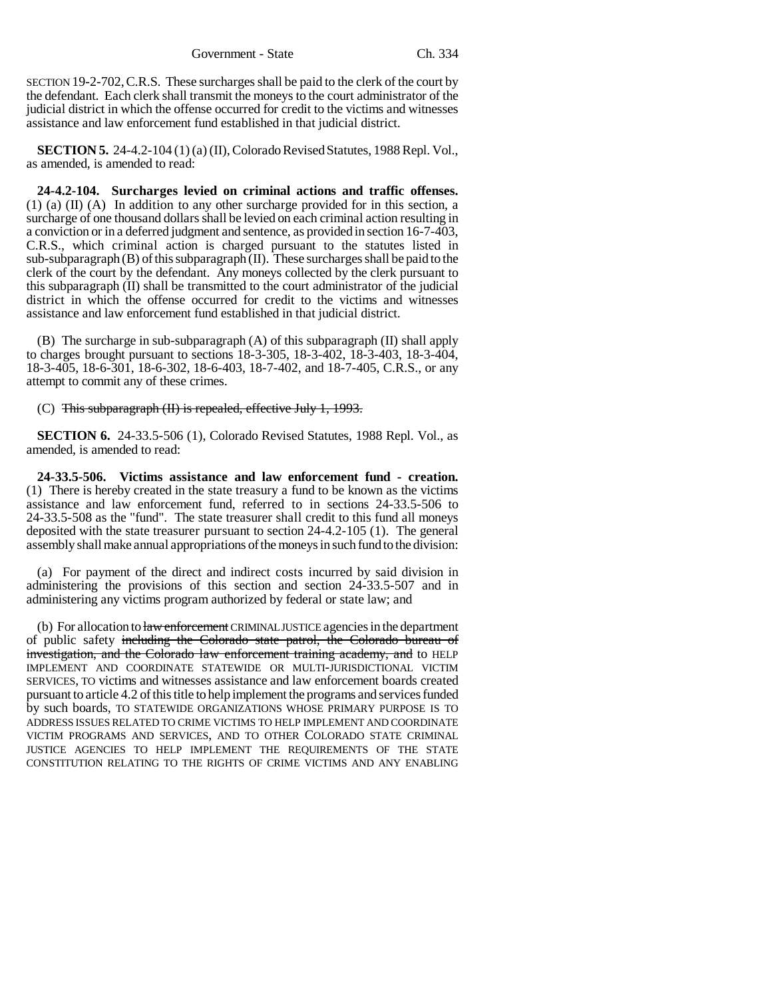SECTION 19-2-702,C.R.S. These surcharges shall be paid to the clerk of the court by the defendant. Each clerk shall transmit the moneys to the court administrator of the judicial district in which the offense occurred for credit to the victims and witnesses assistance and law enforcement fund established in that judicial district.

**SECTION 5.** 24-4.2-104 (1) (a) (II), Colorado Revised Statutes, 1988 Repl. Vol., as amended, is amended to read:

**24-4.2-104. Surcharges levied on criminal actions and traffic offenses.** (1) (a) (II) (A) In addition to any other surcharge provided for in this section, a surcharge of one thousand dollars shall be levied on each criminal action resulting in a conviction or in a deferred judgment and sentence, as provided in section 16-7-403, C.R.S., which criminal action is charged pursuant to the statutes listed in sub-subparagraph (B) of this subparagraph (II). These surcharges shall be paid to the clerk of the court by the defendant. Any moneys collected by the clerk pursuant to this subparagraph (II) shall be transmitted to the court administrator of the judicial district in which the offense occurred for credit to the victims and witnesses assistance and law enforcement fund established in that judicial district.

(B) The surcharge in sub-subparagraph (A) of this subparagraph (II) shall apply to charges brought pursuant to sections 18-3-305, 18-3-402, 18-3-403, 18-3-404, 18-3-405, 18-6-301, 18-6-302, 18-6-403, 18-7-402, and 18-7-405, C.R.S., or any attempt to commit any of these crimes.

## (C) This subparagraph (II) is repealed, effective July 1, 1993.

**SECTION 6.** 24-33.5-506 (1), Colorado Revised Statutes, 1988 Repl. Vol., as amended, is amended to read:

**24-33.5-506. Victims assistance and law enforcement fund - creation.** (1) There is hereby created in the state treasury a fund to be known as the victims assistance and law enforcement fund, referred to in sections 24-33.5-506 to 24-33.5-508 as the "fund". The state treasurer shall credit to this fund all moneys deposited with the state treasurer pursuant to section 24-4.2-105 (1). The general assembly shall make annual appropriations of the moneys in such fund to the division:

(a) For payment of the direct and indirect costs incurred by said division in administering the provisions of this section and section 24-33.5-507 and in administering any victims program authorized by federal or state law; and

(b) For allocation to law enforcement CRIMINAL JUSTICE agencies in the department of public safety including the Colorado state patrol, the Colorado bureau of investigation, and the Colorado law enforcement training academy, and to HELP IMPLEMENT AND COORDINATE STATEWIDE OR MULTI-JURISDICTIONAL VICTIM SERVICES, TO victims and witnesses assistance and law enforcement boards created pursuant to article 4.2 of this title to help implement the programs and services funded by such boards, TO STATEWIDE ORGANIZATIONS WHOSE PRIMARY PURPOSE IS TO ADDRESS ISSUES RELATED TO CRIME VICTIMS TO HELP IMPLEMENT AND COORDINATE VICTIM PROGRAMS AND SERVICES, AND TO OTHER COLORADO STATE CRIMINAL JUSTICE AGENCIES TO HELP IMPLEMENT THE REQUIREMENTS OF THE STATE CONSTITUTION RELATING TO THE RIGHTS OF CRIME VICTIMS AND ANY ENABLING